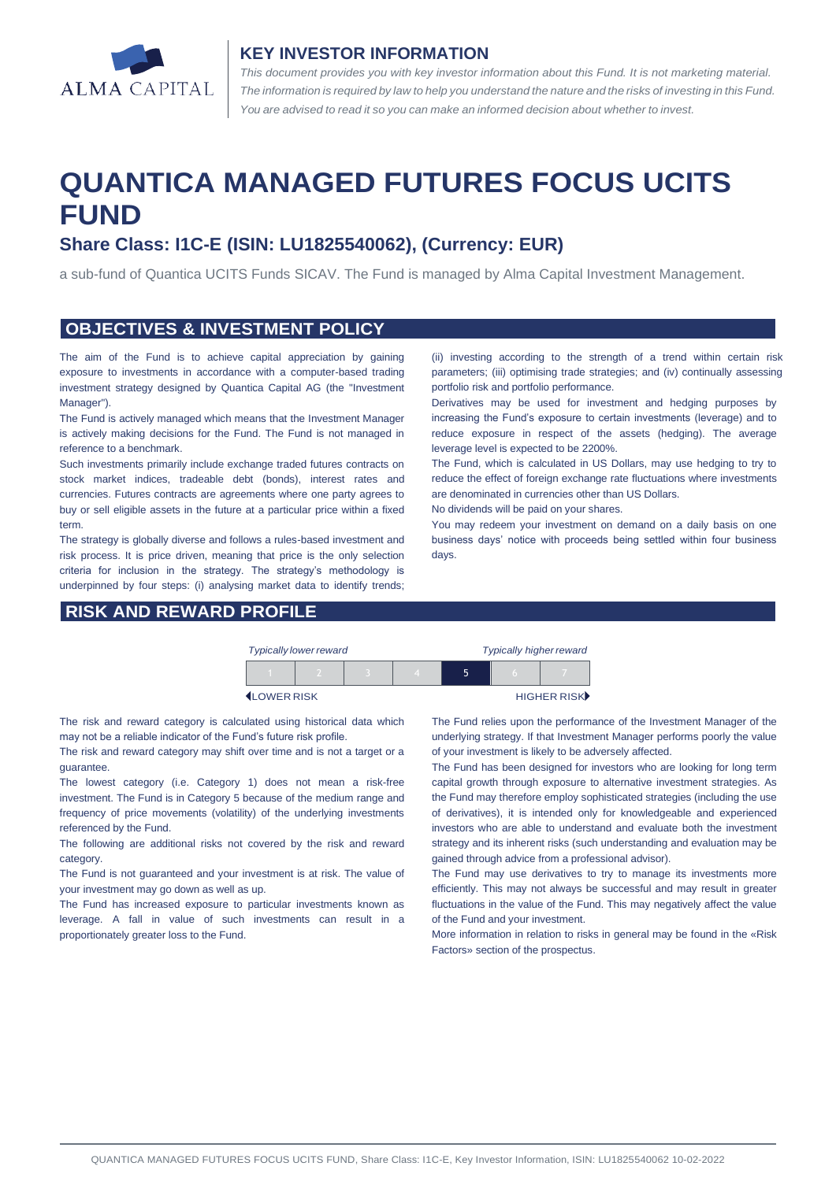

#### **KEY INVESTOR INFORMATION**

*This document provides you with key investor information about this Fund. It is not marketing material.*  The information is required by law to help you understand the nature and the risks of investing in this Fund. *You are advised to read it so you can make an informed decision about whether to invest.*

# **QUANTICA MANAGED FUTURES FOCUS UCITS FUND**

# **Share Class: I1C-E (ISIN: LU1825540062), (Currency: EUR)**

a sub-fund of Quantica UCITS Funds SICAV. The Fund is managed by Alma Capital Investment Management.

#### **OBJECTIVES & INVESTMENT POLICY**

The aim of the Fund is to achieve capital appreciation by gaining exposure to investments in accordance with a computer-based trading investment strategy designed by Quantica Capital AG (the "Investment Manager").

The Fund is actively managed which means that the Investment Manager is actively making decisions for the Fund. The Fund is not managed in reference to a benchmark.

Such investments primarily include exchange traded futures contracts on stock market indices, tradeable debt (bonds), interest rates and currencies. Futures contracts are agreements where one party agrees to buy or sell eligible assets in the future at a particular price within a fixed term.

The strategy is globally diverse and follows a rules-based investment and risk process. It is price driven, meaning that price is the only selection criteria for inclusion in the strategy. The strategy's methodology is underpinned by four steps: (i) analysing market data to identify trends;

## **RISK AND REWARD PROFILE**

(ii) investing according to the strength of a trend within certain risk parameters; (iii) optimising trade strategies; and (iv) continually assessing portfolio risk and portfolio performance.

Derivatives may be used for investment and hedging purposes by increasing the Fund's exposure to certain investments (leverage) and to reduce exposure in respect of the assets (hedging). The average leverage level is expected to be 2200%.

The Fund, which is calculated in US Dollars, may use hedging to try to reduce the effect of foreign exchange rate fluctuations where investments are denominated in currencies other than US Dollars.

No dividends will be paid on your shares.

You may redeem your investment on demand on a daily basis on one business days' notice with proceeds being settled within four business days.

| <b>Typically lower reward</b> |  |  |  | <b>Typically higher reward</b> |  |             |
|-------------------------------|--|--|--|--------------------------------|--|-------------|
|                               |  |  |  | ↖                              |  |             |
| <b>ILOWER RISK</b>            |  |  |  |                                |  | HIGHER RISK |

The risk and reward category is calculated using historical data which may not be a reliable indicator of the Fund's future risk profile.

The risk and reward category may shift over time and is not a target or a guarantee.

The lowest category (i.e. Category 1) does not mean a risk-free investment. The Fund is in Category 5 because of the medium range and frequency of price movements (volatility) of the underlying investments referenced by the Fund.

The following are additional risks not covered by the risk and reward category.

The Fund is not guaranteed and your investment is at risk. The value of your investment may go down as well as up.

The Fund has increased exposure to particular investments known as leverage. A fall in value of such investments can result in a proportionately greater loss to the Fund.

The Fund relies upon the performance of the Investment Manager of the underlying strategy. If that Investment Manager performs poorly the value of your investment is likely to be adversely affected.

The Fund has been designed for investors who are looking for long term capital growth through exposure to alternative investment strategies. As the Fund may therefore employ sophisticated strategies (including the use of derivatives), it is intended only for knowledgeable and experienced investors who are able to understand and evaluate both the investment strategy and its inherent risks (such understanding and evaluation may be gained through advice from a professional advisor).

The Fund may use derivatives to try to manage its investments more efficiently. This may not always be successful and may result in greater fluctuations in the value of the Fund. This may negatively affect the value of the Fund and your investment.

More information in relation to risks in general may be found in the «Risk Factors» section of the prospectus.